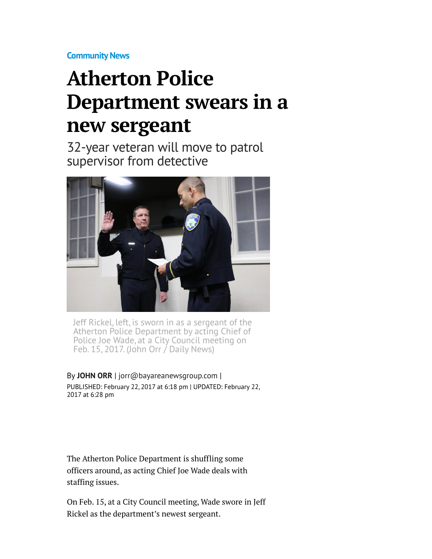**[Community News](http://www.mercurynews.com/community-news/)**

## **Atherton Police Department swears in a new sergeant**

32-year veteran will move to patrol supervisor from detective



Jeff Rickel, left, is sworn in as a sergeant of the Atherton Police Department by acting Chief of Police Joe Wade, at a City Council meeting on Feb. 15, 2017. (John Orr  $\overline{I}$  Daily News)

By **[JOHN ORR](http://www.mercurynews.com/author/john-orr/)** | [jorr@bayareanewsgroup.com](mailto:jorr@bayareanewsgroup.com) | PUBLISHED: February 22, 2017 at 6:18 pm | UPDATED: February 22, 2017 at 6:28 pm

The Atherton Police Department is shuffling some officers around, as acting Chief Joe Wade deals with staffing issues.

On Feb. 15, at a City Council meeting, Wade swore in Jeff Rickel as the department's newest sergeant.